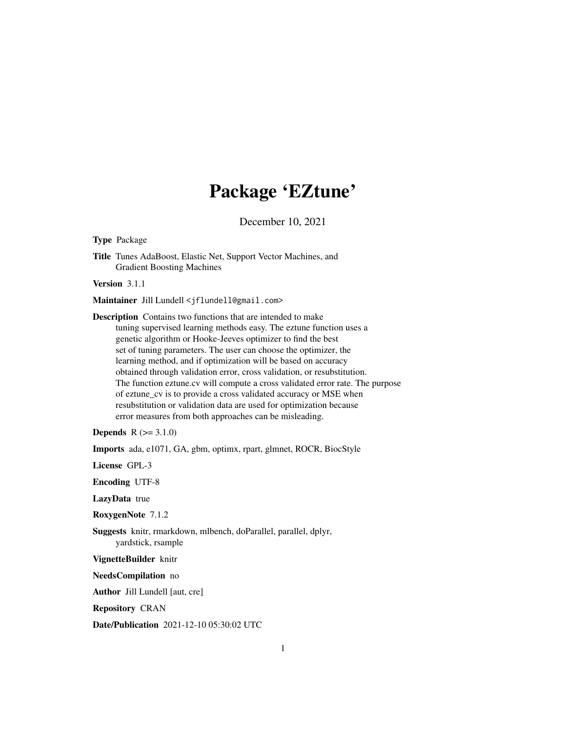## Package 'EZtune'

December 10, 2021

Type Package

Title Tunes AdaBoost, Elastic Net, Support Vector Machines, and Gradient Boosting Machines

Version 3.1.1

Maintainer Jill Lundell <jflundell@gmail.com>

Description Contains two functions that are intended to make tuning supervised learning methods easy. The eztune function uses a genetic algorithm or Hooke-Jeeves optimizer to find the best set of tuning parameters. The user can choose the optimizer, the learning method, and if optimization will be based on accuracy obtained through validation error, cross validation, or resubstitution. The function eztune.cv will compute a cross validated error rate. The purpose of eztune\_cv is to provide a cross validated accuracy or MSE when resubstitution or validation data are used for optimization because error measures from both approaches can be misleading.

**Depends**  $R (=3.1.0)$ 

Imports ada, e1071, GA, gbm, optimx, rpart, glmnet, ROCR, BiocStyle

License GPL-3

Encoding UTF-8

LazyData true

RoxygenNote 7.1.2

Suggests knitr, rmarkdown, mlbench, doParallel, parallel, dplyr, yardstick, rsample

VignetteBuilder knitr

NeedsCompilation no

Author Jill Lundell [aut, cre]

Repository CRAN

Date/Publication 2021-12-10 05:30:02 UTC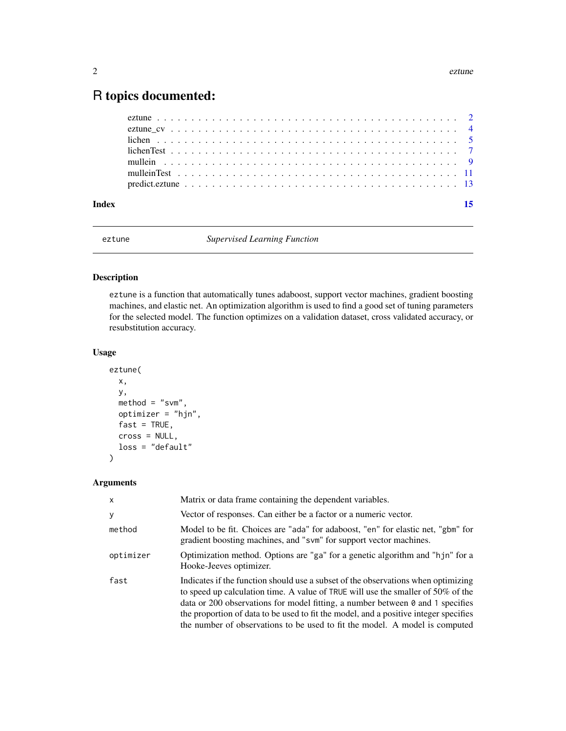### <span id="page-1-0"></span>R topics documented:

| Index |  |  |  |  |  |  |  |  |  |  |  |  |  |  |  |  | 15 |
|-------|--|--|--|--|--|--|--|--|--|--|--|--|--|--|--|--|----|
|       |  |  |  |  |  |  |  |  |  |  |  |  |  |  |  |  |    |
|       |  |  |  |  |  |  |  |  |  |  |  |  |  |  |  |  |    |
|       |  |  |  |  |  |  |  |  |  |  |  |  |  |  |  |  |    |
|       |  |  |  |  |  |  |  |  |  |  |  |  |  |  |  |  |    |
|       |  |  |  |  |  |  |  |  |  |  |  |  |  |  |  |  |    |
|       |  |  |  |  |  |  |  |  |  |  |  |  |  |  |  |  |    |
|       |  |  |  |  |  |  |  |  |  |  |  |  |  |  |  |  |    |

eztune *Supervised Learning Function*

#### Description

eztune is a function that automatically tunes adaboost, support vector machines, gradient boosting machines, and elastic net. An optimization algorithm is used to find a good set of tuning parameters for the selected model. The function optimizes on a validation dataset, cross validated accuracy, or resubstitution accuracy.

#### Usage

```
eztune(
 x,
 y,
 method = "swm",optimizer = "hjn",
 fast = TRUE,cross = NULL,
  loss = "default"
)
```
#### Arguments

| $\mathsf{x}$ | Matrix or data frame containing the dependent variables.                                                                                                                                                                                                                                                                                                                                                                                 |
|--------------|------------------------------------------------------------------------------------------------------------------------------------------------------------------------------------------------------------------------------------------------------------------------------------------------------------------------------------------------------------------------------------------------------------------------------------------|
| y            | Vector of responses. Can either be a factor or a numeric vector.                                                                                                                                                                                                                                                                                                                                                                         |
| method       | Model to be fit. Choices are "ada" for adaboost, "en" for elastic net, "gbm" for<br>gradient boosting machines, and "svm" for support vector machines.                                                                                                                                                                                                                                                                                   |
| optimizer    | Optimization method. Options are "ga" for a genetic algorithm and "hjn" for a<br>Hooke-Jeeves optimizer.                                                                                                                                                                                                                                                                                                                                 |
| fast         | Indicates if the function should use a subset of the observations when optimizing<br>to speed up calculation time. A value of TRUE will use the smaller of $50\%$ of the<br>data or 200 observations for model fitting, a number between $\theta$ and 1 specifies<br>the proportion of data to be used to fit the model, and a positive integer specifies<br>the number of observations to be used to fit the model. A model is computed |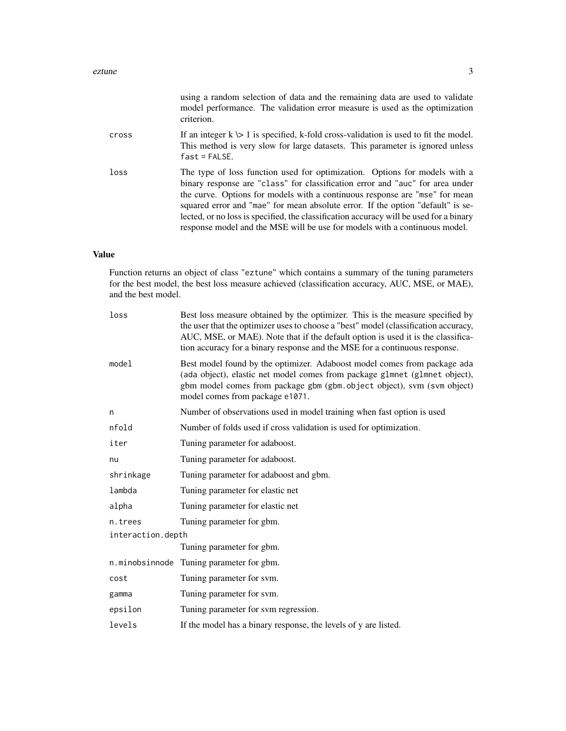|       | using a random selection of data and the remaining data are used to validate<br>model performance. The validation error measure is used as the optimization<br>criterion.                                                                                                                                                                                                                                                                                                                             |
|-------|-------------------------------------------------------------------------------------------------------------------------------------------------------------------------------------------------------------------------------------------------------------------------------------------------------------------------------------------------------------------------------------------------------------------------------------------------------------------------------------------------------|
| cross | If an integer $k \geq 1$ is specified, k-fold cross-validation is used to fit the model.<br>This method is very slow for large datasets. This parameter is ignored unless<br>$fast = FALSE.$                                                                                                                                                                                                                                                                                                          |
| loss  | The type of loss function used for optimization. Options for models with a<br>binary response are "class" for classification error and "auc" for area under<br>the curve. Options for models with a continuous response are "mse" for mean<br>squared error and "mae" for mean absolute error. If the option "default" is se-<br>lected, or no loss is specified, the classification accuracy will be used for a binary<br>response model and the MSE will be use for models with a continuous model. |

#### Value

Function returns an object of class "eztune" which contains a summary of the tuning parameters for the best model, the best loss measure achieved (classification accuracy, AUC, MSE, or MAE), and the best model.

| loss              | Best loss measure obtained by the optimizer. This is the measure specified by<br>the user that the optimizer uses to choose a "best" model (classification accuracy,<br>AUC, MSE, or MAE). Note that if the default option is used it is the classifica-<br>tion accuracy for a binary response and the MSE for a continuous response. |
|-------------------|----------------------------------------------------------------------------------------------------------------------------------------------------------------------------------------------------------------------------------------------------------------------------------------------------------------------------------------|
| model             | Best model found by the optimizer. Adaboost model comes from package ada<br>(ada object), elastic net model comes from package glmnet (glmnet object),<br>gbm model comes from package gbm (gbm.object object), svm (svm object)<br>model comes from package e1071.                                                                    |
| n                 | Number of observations used in model training when fast option is used                                                                                                                                                                                                                                                                 |
| nfold             | Number of folds used if cross validation is used for optimization.                                                                                                                                                                                                                                                                     |
| iter              | Tuning parameter for adaboost.                                                                                                                                                                                                                                                                                                         |
| nu                | Tuning parameter for adaboost.                                                                                                                                                                                                                                                                                                         |
| shrinkage         | Tuning parameter for adaboost and gbm.                                                                                                                                                                                                                                                                                                 |
| lambda            | Tuning parameter for elastic net                                                                                                                                                                                                                                                                                                       |
| alpha             | Tuning parameter for elastic net                                                                                                                                                                                                                                                                                                       |
| n.trees           | Tuning parameter for gbm.                                                                                                                                                                                                                                                                                                              |
| interaction.depth |                                                                                                                                                                                                                                                                                                                                        |
|                   | Tuning parameter for gbm.                                                                                                                                                                                                                                                                                                              |
| n.minobsinnode    | Tuning parameter for gbm.                                                                                                                                                                                                                                                                                                              |
| cost              | Tuning parameter for svm.                                                                                                                                                                                                                                                                                                              |
| gamma             | Tuning parameter for svm.                                                                                                                                                                                                                                                                                                              |
| epsilon           | Tuning parameter for sym regression.                                                                                                                                                                                                                                                                                                   |
| levels            | If the model has a binary response, the levels of y are listed.                                                                                                                                                                                                                                                                        |
|                   |                                                                                                                                                                                                                                                                                                                                        |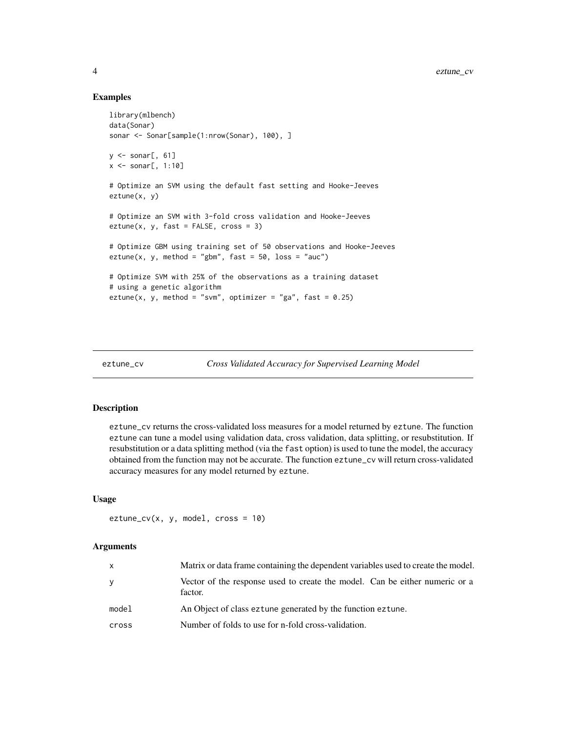#### Examples

```
library(mlbench)
data(Sonar)
sonar <- Sonar[sample(1:nrow(Sonar), 100), ]
y \leq - sonar[, 61]
x \leq -\text{sonar}[, 1:10]# Optimize an SVM using the default fast setting and Hooke-Jeeves
eztune(x, y)
# Optimize an SVM with 3-fold cross validation and Hooke-Jeeves
extune(x, y, fast = FALSE, cross = 3)# Optimize GBM using training set of 50 observations and Hooke-Jeeves
eztune(x, y, method = "gbm", fast = 50, loss = "auc")
# Optimize SVM with 25% of the observations as a training dataset
# using a genetic algorithm
eztune(x, y, method = "svm", optimizer = "ga", fast = 0.25)
```

```
eztune_cv Cross Validated Accuracy for Supervised Learning Model
```
#### Description

eztune\_cv returns the cross-validated loss measures for a model returned by eztune. The function eztune can tune a model using validation data, cross validation, data splitting, or resubstitution. If resubstitution or a data splitting method (via the fast option) is used to tune the model, the accuracy obtained from the function may not be accurate. The function eztune\_cv will return cross-validated accuracy measures for any model returned by eztune.

#### Usage

```
extune_cv(x, y, model, cross = 10)
```
#### Arguments

| X     | Matrix or data frame containing the dependent variables used to create the model.      |
|-------|----------------------------------------------------------------------------------------|
| У     | Vector of the response used to create the model. Can be either numeric or a<br>factor. |
| model | An Object of class eztune generated by the function eztune.                            |
| cross | Number of folds to use for n-fold cross-validation.                                    |

<span id="page-3-0"></span>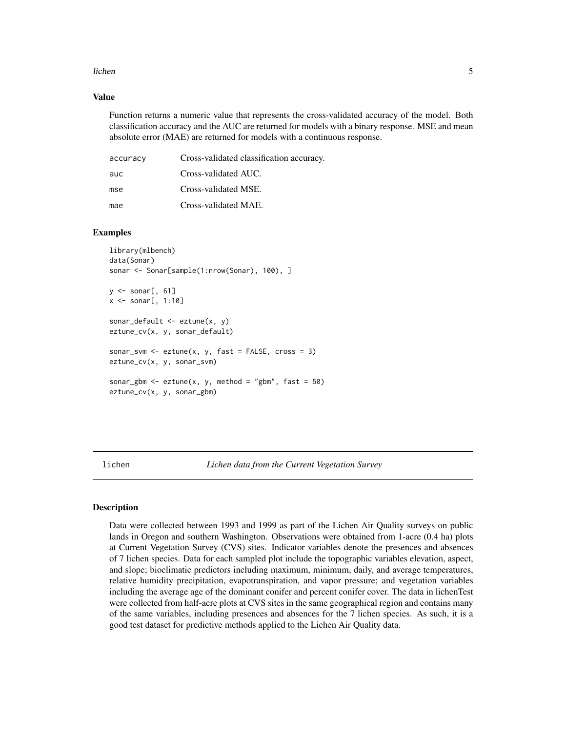#### <span id="page-4-0"></span>lichen 55 besteht is der staat 1999 besteht is der staat 1999 besteht is der staat 1999 besteht is der staat 1

#### Value

Function returns a numeric value that represents the cross-validated accuracy of the model. Both classification accuracy and the AUC are returned for models with a binary response. MSE and mean absolute error (MAE) are returned for models with a continuous response.

| accuracy | Cross-validated classification accuracy. |
|----------|------------------------------------------|
| auc      | Cross-validated AUC.                     |
| mse      | Cross-validated MSE.                     |
| mae      | Cross-validated MAE.                     |

#### Examples

```
library(mlbench)
data(Sonar)
sonar <- Sonar[sample(1:nrow(Sonar), 100), ]
y \leq - sonar[, 61]
x <- sonar[, 1:10]
sonar_default \leq eztune(x, y)
eztune_cv(x, y, sonar_default)
sonar_svm <- eztune(x, y, fast = FALSE, cross = 3)eztune_cv(x, y, sonar_svm)
sonar_gbm <- eztune(x, y, \text{ method} = "gbm", \text{ fast} = 50)eztune_cv(x, y, sonar_gbm)
```
lichen *Lichen data from the Current Vegetation Survey*

#### **Description**

Data were collected between 1993 and 1999 as part of the Lichen Air Quality surveys on public lands in Oregon and southern Washington. Observations were obtained from 1-acre (0.4 ha) plots at Current Vegetation Survey (CVS) sites. Indicator variables denote the presences and absences of 7 lichen species. Data for each sampled plot include the topographic variables elevation, aspect, and slope; bioclimatic predictors including maximum, minimum, daily, and average temperatures, relative humidity precipitation, evapotranspiration, and vapor pressure; and vegetation variables including the average age of the dominant conifer and percent conifer cover. The data in lichenTest were collected from half-acre plots at CVS sites in the same geographical region and contains many of the same variables, including presences and absences for the 7 lichen species. As such, it is a good test dataset for predictive methods applied to the Lichen Air Quality data.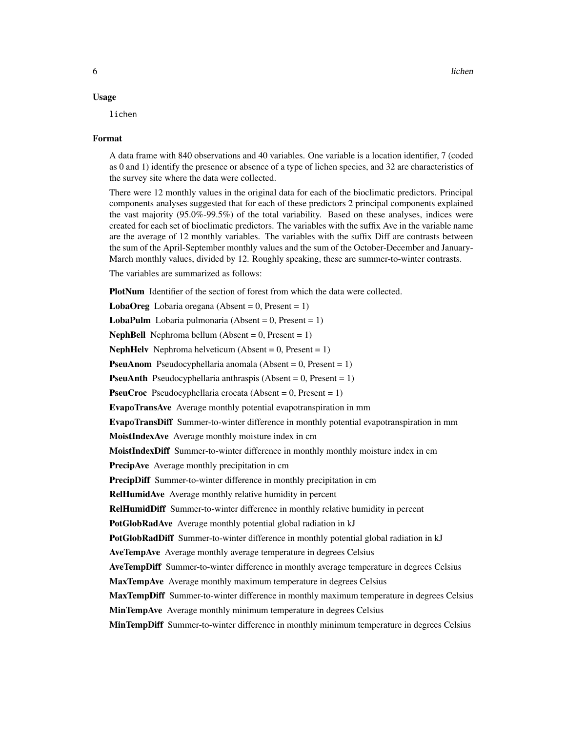#### Usage

lichen

#### Format

A data frame with 840 observations and 40 variables. One variable is a location identifier, 7 (coded as 0 and 1) identify the presence or absence of a type of lichen species, and 32 are characteristics of the survey site where the data were collected.

There were 12 monthly values in the original data for each of the bioclimatic predictors. Principal components analyses suggested that for each of these predictors 2 principal components explained the vast majority (95.0%-99.5%) of the total variability. Based on these analyses, indices were created for each set of bioclimatic predictors. The variables with the suffix Ave in the variable name are the average of 12 monthly variables. The variables with the suffix Diff are contrasts between the sum of the April-September monthly values and the sum of the October-December and January-March monthly values, divided by 12. Roughly speaking, these are summer-to-winter contrasts.

The variables are summarized as follows:

PlotNum Identifier of the section of forest from which the data were collected.

**LobaOreg** Lobaria oregana (Absent =  $0$ , Present =  $1$ )

**LobaPulm** Lobaria pulmonaria (Absent =  $0$ , Present =  $1$ )

**NephBell** Nephroma bellum (Absent  $= 0$ , Present  $= 1$ )

**NephHelv** Nephroma helveticum (Absent =  $0$ , Present =  $1$ )

**PseuAnom** Pseudocyphellaria anomala (Absent =  $0$ , Present =  $1$ )

**PseuAnth** Pseudocyphellaria anthraspis (Absent =  $0$ , Present =  $1$ )

**PseuCroc** Pseudocyphellaria crocata (Absent =  $0$ , Present =  $1$ )

EvapoTransAve Average monthly potential evapotranspiration in mm

EvapoTransDiff Summer-to-winter difference in monthly potential evapotranspiration in mm

MoistIndexAve Average monthly moisture index in cm

MoistIndexDiff Summer-to-winter difference in monthly monthly moisture index in cm

PrecipAve Average monthly precipitation in cm

**PrecipDiff** Summer-to-winter difference in monthly precipitation in cm

RelHumidAve Average monthly relative humidity in percent

RelHumidDiff Summer-to-winter difference in monthly relative humidity in percent

PotGlobRadAve Average monthly potential global radiation in kJ

PotGlobRadDiff Summer-to-winter difference in monthly potential global radiation in kJ

AveTempAve Average monthly average temperature in degrees Celsius

AveTempDiff Summer-to-winter difference in monthly average temperature in degrees Celsius

MaxTempAve Average monthly maximum temperature in degrees Celsius

MaxTempDiff Summer-to-winter difference in monthly maximum temperature in degrees Celsius

MinTempAve Average monthly minimum temperature in degrees Celsius

**MinTempDiff** Summer-to-winter difference in monthly minimum temperature in degrees Celsius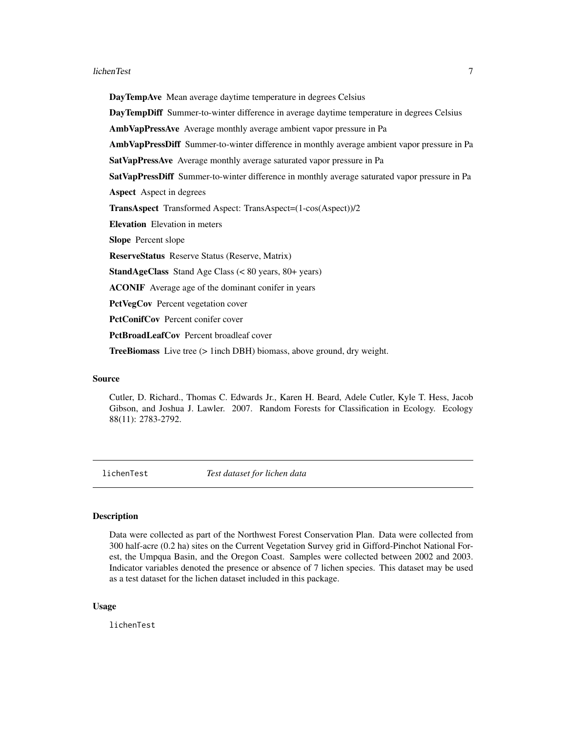#### <span id="page-6-0"></span>lichenTest 7

DayTempAve Mean average daytime temperature in degrees Celsius

DayTempDiff Summer-to-winter difference in average daytime temperature in degrees Celsius

AmbVapPressAve Average monthly average ambient vapor pressure in Pa

AmbVapPressDiff Summer-to-winter difference in monthly average ambient vapor pressure in Pa

SatVapPressAve Average monthly average saturated vapor pressure in Pa

SatVapPressDiff Summer-to-winter difference in monthly average saturated vapor pressure in Pa

Aspect Aspect in degrees

TransAspect Transformed Aspect: TransAspect=(1-cos(Aspect))/2

Elevation Elevation in meters

Slope Percent slope

ReserveStatus Reserve Status (Reserve, Matrix)

StandAgeClass Stand Age Class (< 80 years, 80+ years)

ACONIF Average age of the dominant conifer in years

PctVegCov Percent vegetation cover

PctConifCov Percent conifer cover

PctBroadLeafCov Percent broadleaf cover

TreeBiomass Live tree (> 1inch DBH) biomass, above ground, dry weight.

#### Source

Cutler, D. Richard., Thomas C. Edwards Jr., Karen H. Beard, Adele Cutler, Kyle T. Hess, Jacob Gibson, and Joshua J. Lawler. 2007. Random Forests for Classification in Ecology. Ecology 88(11): 2783-2792.

lichenTest *Test dataset for lichen data*

#### **Description**

Data were collected as part of the Northwest Forest Conservation Plan. Data were collected from 300 half-acre (0.2 ha) sites on the Current Vegetation Survey grid in Gifford-Pinchot National Forest, the Umpqua Basin, and the Oregon Coast. Samples were collected between 2002 and 2003. Indicator variables denoted the presence or absence of 7 lichen species. This dataset may be used as a test dataset for the lichen dataset included in this package.

#### Usage

lichenTest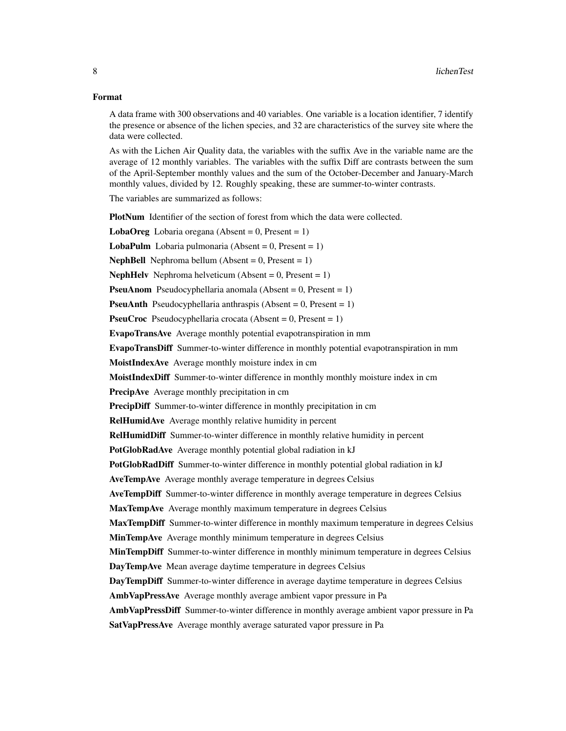#### Format

A data frame with 300 observations and 40 variables. One variable is a location identifier, 7 identify the presence or absence of the lichen species, and 32 are characteristics of the survey site where the data were collected.

As with the Lichen Air Quality data, the variables with the suffix Ave in the variable name are the average of 12 monthly variables. The variables with the suffix Diff are contrasts between the sum of the April-September monthly values and the sum of the October-December and January-March monthly values, divided by 12. Roughly speaking, these are summer-to-winter contrasts.

The variables are summarized as follows:

PlotNum Identifier of the section of forest from which the data were collected.

**LobaOreg** Lobaria oregana (Absent =  $0$ , Present =  $1$ )

**LobaPulm** Lobaria pulmonaria (Absent =  $0$ , Present =  $1$ )

**NephBell** Nephroma bellum (Absent  $= 0$ , Present  $= 1$ )

**NephHelv** Nephroma helveticum (Absent =  $0$ , Present =  $1$ )

**PseuAnom** Pseudocyphellaria anomala (Absent =  $0$ , Present =  $1$ )

**PseuAnth** Pseudocyphellaria anthraspis (Absent =  $0$ , Present =  $1$ )

**PseuCroc** Pseudocyphellaria crocata (Absent =  $0$ , Present =  $1$ )

EvapoTransAve Average monthly potential evapotranspiration in mm

EvapoTransDiff Summer-to-winter difference in monthly potential evapotranspiration in mm

MoistIndexAve Average monthly moisture index in cm

**MoistIndexDiff** Summer-to-winter difference in monthly monthly moisture index in cm

PrecipAve Average monthly precipitation in cm

PrecipDiff Summer-to-winter difference in monthly precipitation in cm

RelHumidAve Average monthly relative humidity in percent

RelHumidDiff Summer-to-winter difference in monthly relative humidity in percent

PotGlobRadAve Average monthly potential global radiation in kJ

PotGlobRadDiff Summer-to-winter difference in monthly potential global radiation in kJ

AveTempAve Average monthly average temperature in degrees Celsius

AveTempDiff Summer-to-winter difference in monthly average temperature in degrees Celsius

MaxTempAve Average monthly maximum temperature in degrees Celsius

MaxTempDiff Summer-to-winter difference in monthly maximum temperature in degrees Celsius

MinTempAve Average monthly minimum temperature in degrees Celsius

**MinTempDiff** Summer-to-winter difference in monthly minimum temperature in degrees Celsius

DayTempAve Mean average daytime temperature in degrees Celsius

DayTempDiff Summer-to-winter difference in average daytime temperature in degrees Celsius

AmbVapPressAve Average monthly average ambient vapor pressure in Pa

AmbVapPressDiff Summer-to-winter difference in monthly average ambient vapor pressure in Pa SatVapPressAve Average monthly average saturated vapor pressure in Pa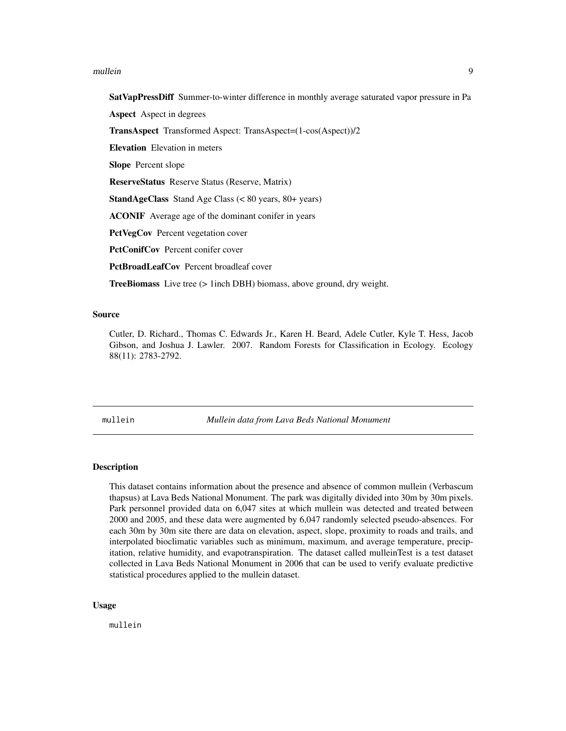#### <span id="page-8-0"></span>mullein **9**9

SatVapPressDiff Summer-to-winter difference in monthly average saturated vapor pressure in Pa

Aspect Aspect in degrees

TransAspect Transformed Aspect: TransAspect=(1-cos(Aspect))/2

Elevation Elevation in meters

Slope Percent slope

ReserveStatus Reserve Status (Reserve, Matrix)

StandAgeClass Stand Age Class (< 80 years, 80+ years)

ACONIF Average age of the dominant conifer in years

PctVegCov Percent vegetation cover

PctConifCov Percent conifer cover

PctBroadLeafCov Percent broadleaf cover

TreeBiomass Live tree (> 1inch DBH) biomass, above ground, dry weight.

#### Source

Cutler, D. Richard., Thomas C. Edwards Jr., Karen H. Beard, Adele Cutler, Kyle T. Hess, Jacob Gibson, and Joshua J. Lawler. 2007. Random Forests for Classification in Ecology. Ecology 88(11): 2783-2792.

mullein *Mullein data from Lava Beds National Monument*

#### Description

This dataset contains information about the presence and absence of common mullein (Verbascum thapsus) at Lava Beds National Monument. The park was digitally divided into 30m by 30m pixels. Park personnel provided data on 6,047 sites at which mullein was detected and treated between 2000 and 2005, and these data were augmented by 6,047 randomly selected pseudo-absences. For each 30m by 30m site there are data on elevation, aspect, slope, proximity to roads and trails, and interpolated bioclimatic variables such as minimum, maximum, and average temperature, precipitation, relative humidity, and evapotranspiration. The dataset called mulleinTest is a test dataset collected in Lava Beds National Monument in 2006 that can be used to verify evaluate predictive statistical procedures applied to the mullein dataset.

#### Usage

mullein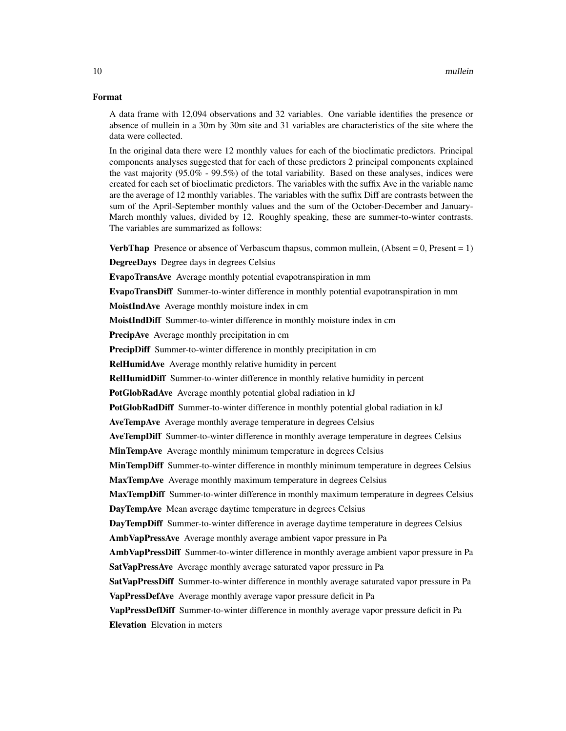#### Format

A data frame with 12,094 observations and 32 variables. One variable identifies the presence or absence of mullein in a 30m by 30m site and 31 variables are characteristics of the site where the data were collected.

In the original data there were 12 monthly values for each of the bioclimatic predictors. Principal components analyses suggested that for each of these predictors 2 principal components explained the vast majority (95.0% - 99.5%) of the total variability. Based on these analyses, indices were created for each set of bioclimatic predictors. The variables with the suffix Ave in the variable name are the average of 12 monthly variables. The variables with the suffix Diff are contrasts between the sum of the April-September monthly values and the sum of the October-December and January-March monthly values, divided by 12. Roughly speaking, these are summer-to-winter contrasts. The variables are summarized as follows:

**VerbThap** Presence or absence of Verbascum thapsus, common mullein, (Absent =  $0$ , Present =  $1$ )

DegreeDays Degree days in degrees Celsius

EvapoTransAve Average monthly potential evapotranspiration in mm

EvapoTransDiff Summer-to-winter difference in monthly potential evapotranspiration in mm

MoistIndAve Average monthly moisture index in cm

MoistIndDiff Summer-to-winter difference in monthly moisture index in cm

PrecipAve Average monthly precipitation in cm

PrecipDiff Summer-to-winter difference in monthly precipitation in cm

RelHumidAve Average monthly relative humidity in percent

RelHumidDiff Summer-to-winter difference in monthly relative humidity in percent

PotGlobRadAve Average monthly potential global radiation in kJ

PotGlobRadDiff Summer-to-winter difference in monthly potential global radiation in kJ

AveTempAve Average monthly average temperature in degrees Celsius

AveTempDiff Summer-to-winter difference in monthly average temperature in degrees Celsius

MinTempAve Average monthly minimum temperature in degrees Celsius

**MinTempDiff** Summer-to-winter difference in monthly minimum temperature in degrees Celsius

MaxTempAve Average monthly maximum temperature in degrees Celsius

**MaxTempDiff** Summer-to-winter difference in monthly maximum temperature in degrees Celsius DayTempAve Mean average daytime temperature in degrees Celsius

DayTempDiff Summer-to-winter difference in average daytime temperature in degrees Celsius AmbVapPressAve Average monthly average ambient vapor pressure in Pa

AmbVapPressDiff Summer-to-winter difference in monthly average ambient vapor pressure in Pa SatVapPressAve Average monthly average saturated vapor pressure in Pa

SatVapPressDiff Summer-to-winter difference in monthly average saturated vapor pressure in Pa VapPressDefAve Average monthly average vapor pressure deficit in Pa

VapPressDefDiff Summer-to-winter difference in monthly average vapor pressure deficit in Pa

Elevation Elevation in meters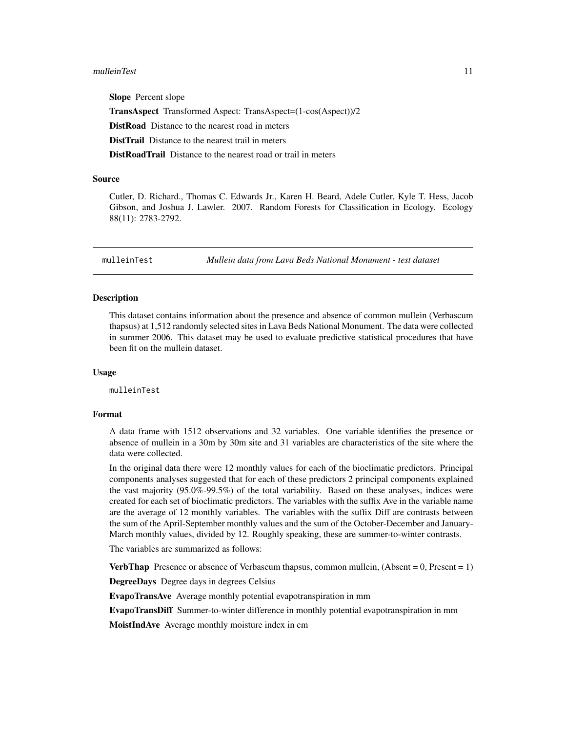#### <span id="page-10-0"></span>mulleinTest 11

Slope Percent slope TransAspect Transformed Aspect: TransAspect=(1-cos(Aspect))/2 DistRoad Distance to the nearest road in meters DistTrail Distance to the nearest trail in meters DistRoadTrail Distance to the nearest road or trail in meters

#### Source

Cutler, D. Richard., Thomas C. Edwards Jr., Karen H. Beard, Adele Cutler, Kyle T. Hess, Jacob Gibson, and Joshua J. Lawler. 2007. Random Forests for Classification in Ecology. Ecology 88(11): 2783-2792.

mulleinTest *Mullein data from Lava Beds National Monument - test dataset*

#### Description

This dataset contains information about the presence and absence of common mullein (Verbascum thapsus) at 1,512 randomly selected sites in Lava Beds National Monument. The data were collected in summer 2006. This dataset may be used to evaluate predictive statistical procedures that have been fit on the mullein dataset.

#### Usage

mulleinTest

#### Format

A data frame with 1512 observations and 32 variables. One variable identifies the presence or absence of mullein in a 30m by 30m site and 31 variables are characteristics of the site where the data were collected.

In the original data there were 12 monthly values for each of the bioclimatic predictors. Principal components analyses suggested that for each of these predictors 2 principal components explained the vast majority (95.0%-99.5%) of the total variability. Based on these analyses, indices were created for each set of bioclimatic predictors. The variables with the suffix Ave in the variable name are the average of 12 monthly variables. The variables with the suffix Diff are contrasts between the sum of the April-September monthly values and the sum of the October-December and January-March monthly values, divided by 12. Roughly speaking, these are summer-to-winter contrasts.

The variables are summarized as follows:

**VerbThap** Presence or absence of Verbascum thapsus, common mullein,  $(Absent = 0, Present = 1)$ 

DegreeDays Degree days in degrees Celsius

EvapoTransAve Average monthly potential evapotranspiration in mm

EvapoTransDiff Summer-to-winter difference in monthly potential evapotranspiration in mm

MoistIndAve Average monthly moisture index in cm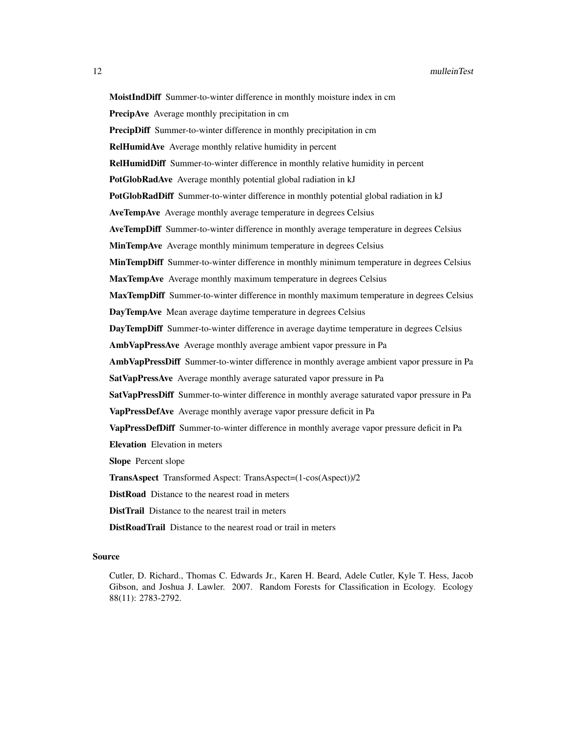MoistIndDiff Summer-to-winter difference in monthly moisture index in cm PrecipAve Average monthly precipitation in cm PrecipDiff Summer-to-winter difference in monthly precipitation in cm RelHumidAve Average monthly relative humidity in percent RelHumidDiff Summer-to-winter difference in monthly relative humidity in percent PotGlobRadAve Average monthly potential global radiation in kJ PotGlobRadDiff Summer-to-winter difference in monthly potential global radiation in kJ AveTempAve Average monthly average temperature in degrees Celsius AveTempDiff Summer-to-winter difference in monthly average temperature in degrees Celsius MinTempAve Average monthly minimum temperature in degrees Celsius **MinTempDiff** Summer-to-winter difference in monthly minimum temperature in degrees Celsius MaxTempAve Average monthly maximum temperature in degrees Celsius MaxTempDiff Summer-to-winter difference in monthly maximum temperature in degrees Celsius DayTempAve Mean average daytime temperature in degrees Celsius DayTempDiff Summer-to-winter difference in average daytime temperature in degrees Celsius AmbVapPressAve Average monthly average ambient vapor pressure in Pa AmbVapPressDiff Summer-to-winter difference in monthly average ambient vapor pressure in Pa SatVapPressAve Average monthly average saturated vapor pressure in Pa SatVapPressDiff Summer-to-winter difference in monthly average saturated vapor pressure in Pa VapPressDefAve Average monthly average vapor pressure deficit in Pa VapPressDefDiff Summer-to-winter difference in monthly average vapor pressure deficit in Pa Elevation Elevation in meters Slope Percent slope TransAspect Transformed Aspect: TransAspect=(1-cos(Aspect))/2 DistRoad Distance to the nearest road in meters DistTrail Distance to the nearest trail in meters DistRoadTrail Distance to the nearest road or trail in meters

#### Source

Cutler, D. Richard., Thomas C. Edwards Jr., Karen H. Beard, Adele Cutler, Kyle T. Hess, Jacob Gibson, and Joshua J. Lawler. 2007. Random Forests for Classification in Ecology. Ecology 88(11): 2783-2792.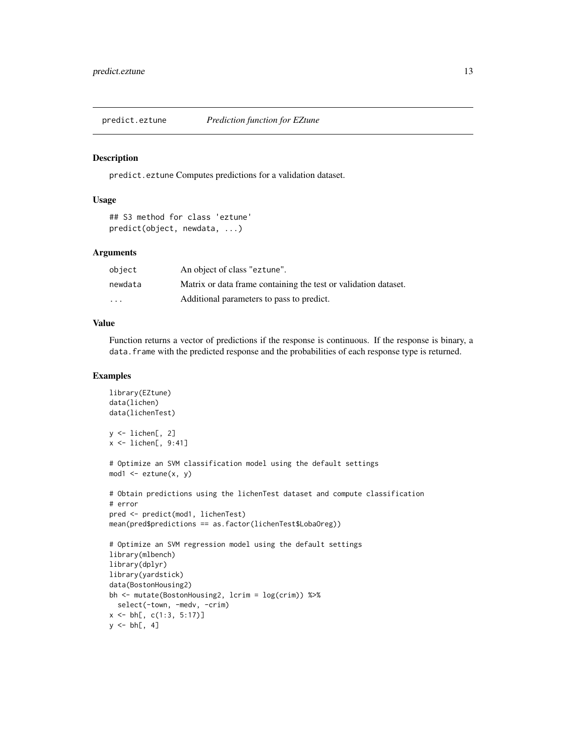<span id="page-12-0"></span>

#### Description

predict.eztune Computes predictions for a validation dataset.

#### Usage

```
## S3 method for class 'eztune'
predict(object, newdata, ...)
```
#### Arguments

| object                  | An object of class "eztune".                                    |
|-------------------------|-----------------------------------------------------------------|
| newdata                 | Matrix or data frame containing the test or validation dataset. |
| $\cdot$ $\cdot$ $\cdot$ | Additional parameters to pass to predict.                       |

#### Value

Function returns a vector of predictions if the response is continuous. If the response is binary, a data.frame with the predicted response and the probabilities of each response type is returned.

#### Examples

```
library(EZtune)
data(lichen)
data(lichenTest)
y \leftarrow lichen[, 2]
x \le - lichen[, 9:41]
# Optimize an SVM classification model using the default settings
mod1 <- eztune(x, y)# Obtain predictions using the lichenTest dataset and compute classification
# error
pred <- predict(mod1, lichenTest)
mean(pred$predictions == as.factor(lichenTest$LobaOreg))
# Optimize an SVM regression model using the default settings
library(mlbench)
library(dplyr)
library(yardstick)
data(BostonHousing2)
bh <- mutate(BostonHousing2, lcrim = log(crim)) %>%
  select(-town, -medv, -crim)
x \le -b h[, c(1:3, 5:17)]y \le bh[, 4]
```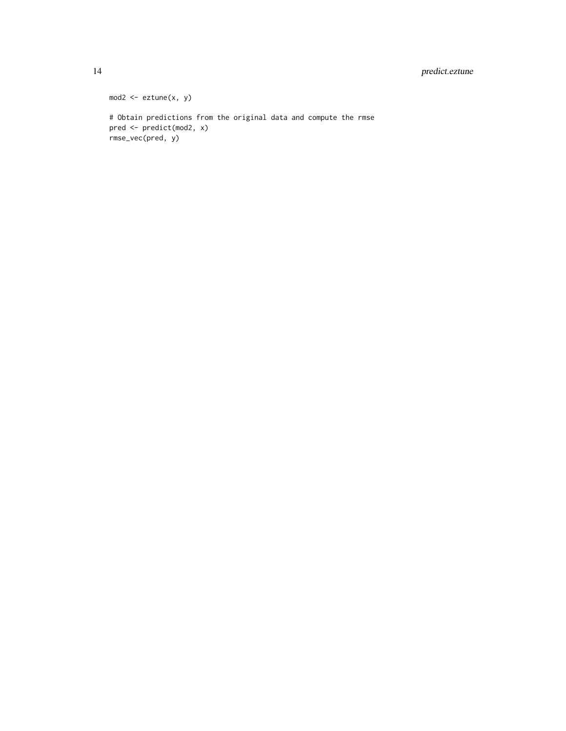#### 14 predict.eztune

```
mod2 \leq -extune(x, y)# Obtain predictions from the original data and compute the rmse
pred <- predict(mod2, x)
rmse_vec(pred, y)
```